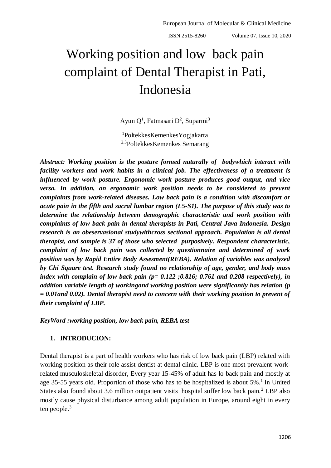ISSN 2515-8260 Volume 07, Issue 10, 2020

# Working position and low back pain complaint of Dental Therapist in Pati, Indonesia

Ayun Q<sup>1</sup>, Fatmasari D<sup>2</sup>, Suparmi<sup>3</sup>

<sup>1</sup>PoltekkesKemenkesYogjakarta 2,3PoltekkesKemenkes Semarang

*Abstract: Working position is the posture formed naturally of bodywhich interact with facility workers and work habits in a clinical job. The effectiveness of a treatment is influenced by work posture. Ergonomic work posture produces good output, and vice versa. In addition, an ergonomic work position needs to be considered to prevent complaints from work-related diseases. Low back pain is a condition with discomfort or acute pain in the fifth and sacral lumbar region (L5-S1). The purpose of this study was to determine the relationship between demographic characteristic and work position with complaints of low back pain in dental therapists in Pati, Central Java Indonesia. Design research is an obeservasional studywithcross sectional approach. Population is all dental therapist, and sample is 37 of those who selected purposively. Respondent characteristic, complaint of low back pain was collected by questionnaire and determined of work position was by Rapid Entire Body Assesment(REBA). Relation of variables was analyzed by Chi Square test. Research study found no relationship of age, gender, and body mass index with complain of low back pain (p= 0.122 ;0.816; 0.761 and 0.208 respectively), in addition variable length of workingand working position were significantly has relation (p = 0.01and 0.02). Dental therapist need to concern with their working position to prevent of their complaint of LBP.* 

*KeyWord :working position, low back pain, REBA test* 

# **1. INTRODUCION:**

Dental therapist is a part of health workers who has risk of low back pain (LBP) related with working position as their role assist dentist at dental clinic. LBP is one most prevalent workrelated musculoskeletal disorder, Every year 15-45% of adult has lo back pain and mostly at age 35-55 years old. Proportion of those who has to be hospitalized is about  $5\%$ .<sup>1</sup> In United States also found about 3.6 million outpatient visits hospital suffer low back pain.<sup>2</sup> LBP also mostly cause physical disturbance among adult population in Europe, around eight in every ten people.<sup>3</sup>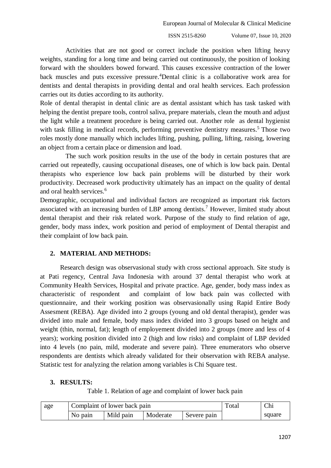ISSN 2515-8260 Volume 07, Issue 10, 2020

Activities that are not good or correct include the position when lifting heavy weights, standing for a long time and being carried out continuously, the position of looking forward with the shoulders bowed forward. This causes excessive contraction of the lower back muscles and puts excessive pressure. <sup>4</sup>Dental clinic is a collaborative work area for dentists and dental therapists in providing dental and oral health services. Each profession carries out its duties according to its authority.

Role of dental therapist in dental clinic are as dental assistant which has task tasked with helping the dentist prepare tools, control saliva, prepare materials, clean the mouth and adjust the light while a treatment procedure is being carried out. Another role as dental hygienist with task filling in medical records, performing preventive dentistry measures.<sup>5</sup> Those two roles mostly done manually which includes lifting, pushing, pulling, lifting, raising, lowering an object from a certain place or dimension and load.

The such work position results in the use of the body in certain postures that are carried out repeatedly, causing occupational diseases, one of which is low back pain. Dental therapists who experience low back pain problems will be disturbed by their work productivity. Decreased work productivity ultimately has an impact on the quality of dental and oral health services.<sup>6</sup>

Demographic, occupational and individual factors are recognized as important risk factors associated with an increasing burden of LBP among dentists. <sup>7</sup> However, limited study about dental therapist and their risk related work. Purpose of the study to find relation of age, gender, body mass index, work position and period of employment of Dental therapist and their complaint of low back pain.

# **2. MATERIAL AND METHODS:**

Research design was observasional study with cross sectional approach. Site study is at Pati regency, Central Java Indonesia with around 37 dental therapist who work at Community Health Services, Hospital and private practice. Age, gender, body mass index as characteristic of respondent and complaint of low back pain was collected with questionnaire, and their working position was observasionally using Rapid Entire Body Assesment (REBA). Age divided into 2 groups (young and old dental therapist), gender was divided into male and female, body mass index divided into 3 groups based on height and weight (thin, normal, fat); length of employement divided into 2 groups (more and less of 4 years); working position divided into 2 (high and low risks) and complaint of LBP devided into 4 levels (no pain, mild, moderate and severe pain). Three enumerators who observe respondents are dentists which already validated for their observation with REBA analyse. Statistic test for analyzing the relation among variables is Chi Square test.

# **3. RESULTS:**

Table 1. Relation of age and complaint of lower back pain

| age |         | Complaint of lower back pain | Total    | Chi         |  |        |
|-----|---------|------------------------------|----------|-------------|--|--------|
|     | No pain | Mild pain                    | Moderate | Severe pain |  | square |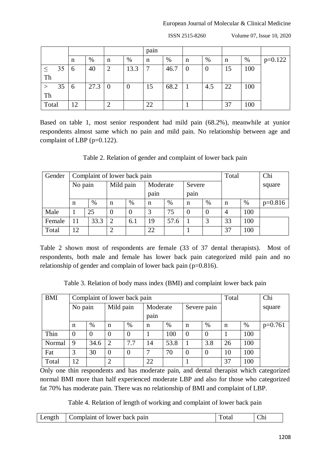Volume 07, Issue 10, 2020

|       |    |    |      |                |                  | pain |      |                |                |    |      |           |
|-------|----|----|------|----------------|------------------|------|------|----------------|----------------|----|------|-----------|
|       |    | n  | %    | n              | $\%$             | n    | %    | n              | %              | n  | $\%$ | $p=0.122$ |
|       | 35 | 6  | 40   | $\overline{2}$ | 13.3             | 7    | 46.7 | $\overline{0}$ | $\overline{0}$ | 15 | 100  |           |
| Th    |    |    |      |                |                  |      |      |                |                |    |      |           |
|       | 35 | 6  | 27.3 | $\overline{0}$ | $\boldsymbol{0}$ | 15   | 68.2 |                | 4.5            | 22 | 100  |           |
| Th    |    |    |      |                |                  |      |      |                |                |    |      |           |
| Total |    | 12 |      | ◠<br>∠         |                  | 22   |      |                |                | 37 | 100  |           |

Based on table 1, most senior respondent had mild pain (68.2%), meanwhile at yunior respondents almost same which no pain and mild pain. No relationship between age and complaint of LBP (p=0.122).

Table 2. Relation of gender and complaint of lower back pain

| Gender | Complaint of lower back pain<br>Total |      |                             |      |          |      |             |          |                |      | Chi       |
|--------|---------------------------------------|------|-----------------------------|------|----------|------|-------------|----------|----------------|------|-----------|
|        | No pain                               |      | Mild pain                   |      | Moderate |      | Severe      |          |                |      | square    |
|        |                                       |      |                             |      | pain     |      | pain        |          |                |      |           |
|        | n                                     | %    | n                           | $\%$ | n        | $\%$ | $\mathbf n$ | $\%$     | n              | $\%$ | $p=0.816$ |
| Male   |                                       | 25   | $\overline{0}$              |      | 3        | 75   | $\theta$    | $\theta$ | $\overline{4}$ | 100  |           |
| Female | 11                                    | 33.3 | $\mathcal{D}_{\mathcal{A}}$ | 6.1  | 19       | 57.6 |             | 3        | 33             | 100  |           |
| Total  | 12                                    |      |                             |      | 22       |      |             |          | 37             | 100  |           |

Table 2 shown most of respondents are female (33 of 37 dental therapists). Most of respondents, both male and female has lower back pain categorized mild pain and no relationship of gender and complain of lower back pain (p=0.816).

Table 3. Relation of body mass index (BMI) and complaint lower back pain

| <b>BMI</b> |                |          | Complaint of lower back pain | Total    |          | Chi  |             |          |    |     |           |
|------------|----------------|----------|------------------------------|----------|----------|------|-------------|----------|----|-----|-----------|
|            | No pain        |          | Mild pain                    |          | Moderate |      | Severe pain |          |    |     | square    |
|            |                |          |                              |          | pain     |      |             |          |    |     |           |
|            | n              | %        | n                            | $\%$     | n        | $\%$ | n           | %        | n  | %   | $p=0.761$ |
| Thin       | $\overline{0}$ | $\theta$ | $\theta$                     | $\Omega$ |          | 100  | $\Omega$    | $\Omega$ |    | 100 |           |
| Normal     | 9              | 34.6     | 2                            | 7.7      | 14       | 53.8 |             | 3.8      | 26 | 100 |           |
| Fat        | 3              | 30       | $\overline{0}$               | $\theta$ | 7        | 70   | $\theta$    | $\theta$ | 10 | 100 |           |
| Total      | 12             |          | $\overline{2}$               |          | 22       |      |             |          | 37 | 100 |           |

Only one thin respondents and has moderate pain, and dental therapist which categorized normal BMI more than half experienced moderate LBP and also for those who categorized fat 70% has moderate pain. There was no relationship of BMI and complaint of LBP.

Table 4. Relation of length of working and complaint of lower back pain

| Length | Complaint of lower back pain | via | Chi |
|--------|------------------------------|-----|-----|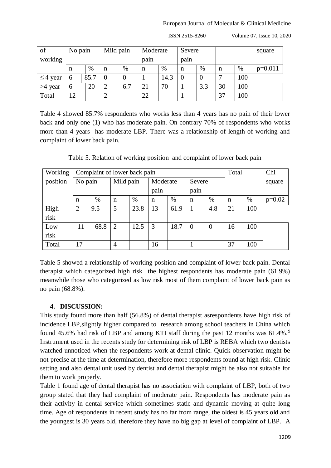| of            | No pain |      | Mild pain |      | Moderate |      | Severe   |     |    |      | square    |
|---------------|---------|------|-----------|------|----------|------|----------|-----|----|------|-----------|
| working       |         |      | pain      |      |          | pain |          |     |    |      |           |
|               | n       | %    | n         | $\%$ | n        | %    | n        | %   | n  | $\%$ | $p=0.011$ |
| $\leq$ 4 year | 6       | 85.7 |           | 0    |          | 14.3 | $\Omega$ |     |    | 100  |           |
| $>4$ year     | 6       | 20   | ി         | 6.7  | 21       | 70   |          | 3.3 | 30 | 100  |           |
| Total         | 12      |      |           |      | 22       |      |          |     | 37 | 100  |           |

ISSN 2515-8260 Volume 07, Issue 10, 2020

Table 4 showed 85.7% respondents who works less than 4 years has no pain of their lower back and only one (1) who has moderate pain. On contrary 70% of respondents who works more than 4 years has moderate LBP. There was a relationship of length of working and complaint of lower back pain.

Table 5. Relation of working position and complaint of lower back pain

| Working  |                | Total<br>Complaint of lower back pain |                |      |             |      |          |          |             |     | Chi      |
|----------|----------------|---------------------------------------|----------------|------|-------------|------|----------|----------|-------------|-----|----------|
| position | No pain        |                                       | Mild pain      |      | Moderate    |      | Severe   |          |             |     | square   |
|          |                |                                       |                |      | pain        |      | pain     |          |             |     |          |
|          | n              | %                                     | $\mathbf n$    | %    | $\mathbf n$ | %    | n        | $\%$     | $\mathbf n$ | %   | $p=0.02$ |
| High     | $\overline{2}$ | 9.5                                   | 5              | 23.8 | 13          | 61.9 |          | 4.8      | 21          | 100 |          |
| risk     |                |                                       |                |      |             |      |          |          |             |     |          |
| Low      | 11             | 68.8                                  | $\overline{2}$ | 12.5 | 3           | 18.7 | $\theta$ | $\theta$ | 16          | 100 |          |
| risk     |                |                                       |                |      |             |      |          |          |             |     |          |
| Total    | 17             |                                       | $\overline{4}$ |      | 16          |      |          |          | 37          | 100 |          |

Table 5 showed a relationship of working position and complaint of lower back pain. Dental therapist which categorized high risk the highest respondents has moderate pain (61.9%) meanwhile those who categorized as low risk most of them complaint of lower back pain as no pain (68.8%).

# **4. DISCUSSION:**

This study found more than half (56.8%) of dental therapist asrespondents have high risk of incidence LBP,slightly higher compared to research among school teachers in China which found 45.6% had risk of LBP and among KTI staff during the past 12 months was 61.4%.<sup>9</sup> Instrument used in the recents study for determining risk of LBP is REBA which two dentists watched unnoticed when the respondents work at dental clinic. Quick observation might be not precise at the time at determination, therefore more respondents found at high risk. Clinic setting and also dental unit used by dentist and dental therapist might be also not suitable for them to work properly.

Table 1 found age of dental therapist has no association with complaint of LBP, both of two group stated that they had complaint of moderate pain. Respondents has moderate pain as their activity in dental service which sometimes static and dynamic moving at quite long time. Age of respondents in recent study has no far from range, the oldest is 45 years old and the youngest is 30 years old, therefore they have no big gap at level of complaint of LBP. A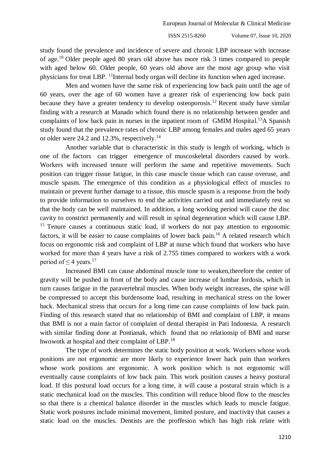ISSN 2515-8260 Volume 07, Issue 10, 2020

study found the prevalence and incidence of severe and chronic LBP increase with increase of age.<sup>10</sup> Older people aged 80 years old above has more risk 3 times compared to people with aged below 60. Older people, 60 years old above are the most age group who visit physicians for treat LBP. <sup>11</sup>Internal body organ will decline its function when aged increase.

Men and women have the same risk of experiencing low back pain until the age of 60 years, over the age of 60 women have a greater risk of experiencing low back pain because they have a greater tendency to develop osteoporosis.<sup>12</sup> Recent study have similar finding with a research at Manado which found there is no relationship between gender and complaints of low back pain in nurses in the inpatient room of  $GMIM$  Hospital.<sup>13</sup>A Spanish study found that the prevalence rates of chronic LBP among females and males aged 65 years or older were 24.2 and 12.3%, respectively.<sup>14</sup>

Another variable that is characteristic in this study is length of working, which is one of the factors can trigger emergence of muscoskeletal disorders caused by work. Workers with increased tenure will perform the same and repetitive movements. Such position can trigger tissue fatigue, in this case muscle tissue which can cause overuse, and muscle spasm. The emergence of this condition as a physiological effect of muscles to maintain or prevent further damage to a tissue, this muscle spasm is a response from the body to provide information to ourselves to end the activities carried out and immediately rest so that the body can be well maintained. In addition, a long working period will cause the disc cavity to constrict permanently and will result in spinal degeneration which will cause LBP.  $15$  Tenure causes a continuous static load, if workers do not pay attention to ergonomic factors, it will be easier to cause complaints of lower back pain.<sup>16</sup> A related research which focus on ergonomic risk and complaint of LBP at nurse which found that workers who have worked for more than 4 years have a risk of 2.755 times compared to workers with a work period of  $\leq$  4 years.<sup>17</sup>

Increased BMI can cause abdominal muscle tone to weaken,therefore the center of gravity will be pushed in front of the body and cause increase of lumbar lordosis, which in turn causes fatigue in the paravertebral muscles. When body weight increases, the spine will be compressed to accept this burdensome load, resulting in mechanical stress on the lower back. Mechanical stress that occurs for a long time can cause complaints of low back pain. Finding of this research stated that no relationship of BMI and complaint of LBP, it means that BMI is not a main factor of complaint of dental therapist in Pati Indonesia. A research with similar finding done at Pontianak, which found that no relationsip of BMI and nurse hwowotk at hospital and their complaint of LBP.<sup>18</sup>

The type of work determines the static body position at work. Workers whose work positions are not ergonomic are more likely to experience lower back pain than workers whose work positions are ergonomic. A work position which is not ergonomic will eventually cause complaints of low back pain. This work position causes a heavy postural load. If this postural load occurs for a long time, it will cause a postural strain which is a static mechanical load on the muscles. This condition will reduce blood flow to the muscles so that there is a chemical balance disorder in the muscles which leads to muscle fatigue. Static work postures include minimal movement, limited posture, and inactivity that causes a static load on the muscles. Dentists are the proffesion which has high risk relate with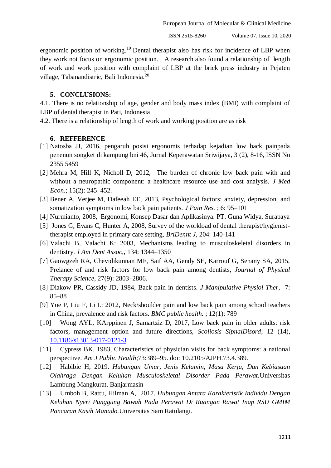ISSN 2515-8260 Volume 07, Issue 10, 2020

ergonomic position of working.<sup>19</sup> Dental therapist also has risk for incidence of LBP when they work not focus on ergonomic position. A research also found a relationship of length of work and work position with complaint of LBP at the brick press industry in Pejaten village, Tabanandistric, Bali Indonesia.<sup>20</sup>

# **5. CONCLUSIONS:**

4.1. There is no relationship of age, gender and body mass index (BMI) with complaint of LBP of dental therapist in Pati, Indonesia

4.2. There is a relationship of length of work and working position are as risk

# **6. REFFERENCE**

- [1] Natosba JJ, 2016, pengaruh posisi ergonomis terhadap kejadian low back painpada penenun songket di kampung bni 46, Jurnal Keperawatan Sriwijaya, 3 (2), 8-16, ISSN No 2355 5459
- [2] Mehra M, Hill K, Nicholl D, 2012, The burden of chronic low back pain with and without a neuropathic component: a healthcare resource use and cost analysis. *J Med Econ.*; 15(2): 245–452.
- [3] Bener A, Verjee M, Dafeeah EE, 2013*,* Psychological factors: anxiety, depression, and somatization symptoms in low back pain patients. *J Pain Res.* ; 6: 95–101
- [4] Nurmianto, 2008, Ergonomi, Konsep Dasar dan Aplikasinya. PT. Guna Widya. Surabaya
- [5] Jones G, Evans C, Hunter A, 2008, Survey of the workload of dental therapist/hygienisttherapist employed in primary care setting, *BriDennt J*, 204: 140-141
- [6] Valachi B, Valachi K: 2003, Mechanisms leading to musculoskeletal disorders in dentistry. *J Am Dent Assoc*,, 134: 1344–1350
- [7] Gaowgzeh RA, Chevidikunnan MF, Saif AA, Gendy SE, Karrouf G, Senany SA, 2015, Prelance of and risk factors for low back pain among dentists, *Journal of Physical Therapy Science*, 27(9): 2803–2806.
- [8] Diakow PR, Cassidy JD, 1984, Back pain in dentists. *J Manipulative Physiol Ther*, 7: 85–88
- [9] Yue P, Liu F, Li L: 2012, Neck/shoulder pain and low back pain among school teachers in China, prevalence and risk factors. *BMC public health.* ; 12(1): 789
- [10] Wong AYL, KArppinen J, Samartziz D, 2017, Low back pain in older adults: risk factors, management option and future directions, *Scoliosis SipnalDisord*; 12 (14), [10.1186/s13013-017-0121-3](file://///dx.doi.org/10.1186/s13013-017-0121-3)
- [11] Cypress BK. 1983, Characteristics of physician visits for back symptoms: a national perspective. *Am J Public Health*;73:389–95. doi: 10.2105/AJPH.73.4.389.
- [12] Habibie H, 2019. *Hubungan Umur, Jenis Kelamin, Masa Kerja, Dan Kebiasaan Olahraga Dengan Keluhan Musculoskeletal Disorder Pada Perawat.*Universitas Lambung Mangkurat. Banjarmasin
- [13] Umboh B, Rattu, Hilman A, 2017. *Hubungan Antara Karakteristik Individu Dengan Keluhan Nyeri Punggung Bawah Pada Perawat Di Ruangan Rawat Inap RSU GMIM Pancaran Kasih Manado.*Universitas Sam Ratulangi.